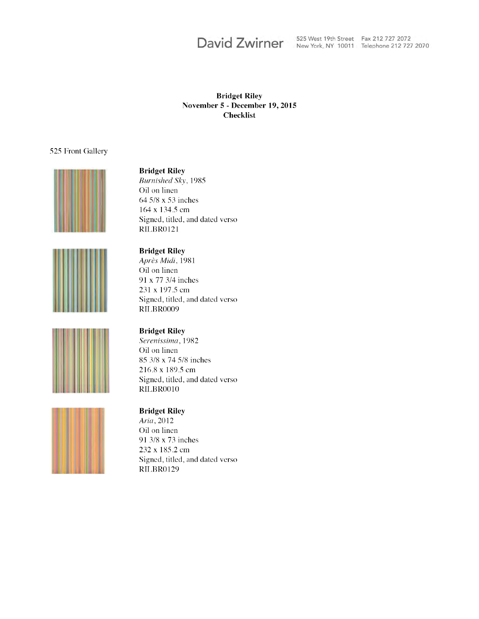# David Zwirner

525 West 19th Street Fax 212 727 2072 New York, NY 10011 Telephone 212 727 2070

#### **Bridget Riley** November 5 - December 19, 2015 **Checklist**

#### 525 Front Gallery





#### **Bridget Riley**

Burnished Sky, 1985 Oil on linen 64 5/8 x 53 inches 164 x 134.5 cm Signed, titled, and dated verso RILBR0121

#### **Bridget Riley**

Après Midi, 1981 Oil on linen 91 x 77 3/4 inches 231 x 197.5 cm Signed, titled, and dated verso RILBR0009



#### **Bridget Riley**

Serenissima, 1982 Oil on linen 85 3/8 x 74 5/8 inches 216.8 x 189.5 cm Signed, titled, and dated verso RILBR0010

#### **Bridget Riley**

Aria, 2012 Oil on linen 91 3/8 x 73 inches 232 x 185.2 cm Signed, titled, and dated verso RILBR0129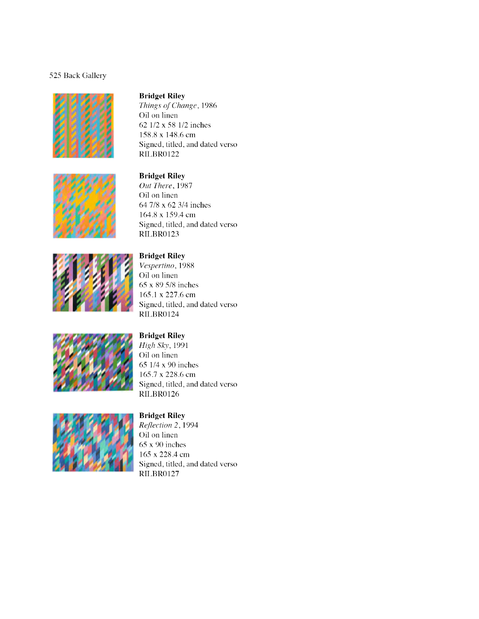#### 525 Back Gallery





# **Bridget Riley**

Things of Change, 1986 Oil on linen 62 1/2 x 58 1/2 inches 158.8 x 148.6 cm Signed, titled, and dated verso RILBR0122

#### **Bridget Riley**

Out There, 1987 Oil on linen 64 7/8 x 62 3/4 inches 164.8 x 159.4 cm Signed, titled, and dated verso **RILBR0123** 



#### **Bridget Riley**

Vespertino, 1988 Oil on linen 65 x 89 5/8 inches 165.1 x 227.6 cm Signed, titled, and dated verso RILBR0124



#### **Bridget Riley**

High Sky, 1991 Oil on linen 65 1/4 x 90 inches 165.7 x 228.6 cm Signed, titled, and dated verso RILBR0126



#### **Bridget Riley**

Reflection 2, 1994 Oil on linen  $65x90$  inches 165 x 228.4 cm Signed, titled, and dated verso RILBR0127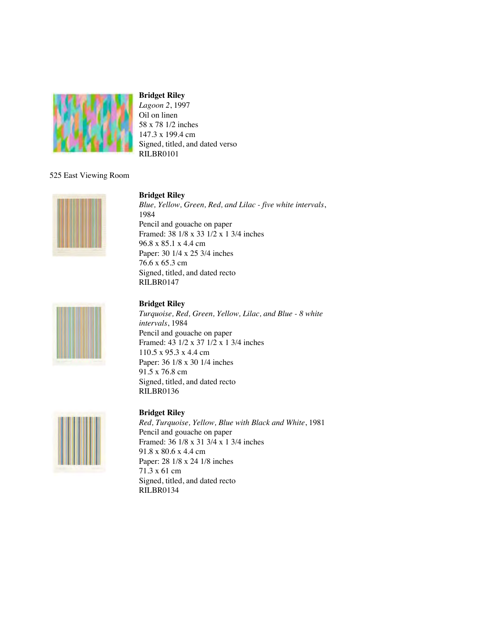

*Lagoon 2*, 1997 Oil on linen 58 x 78 1/2 inches 147.3 x 199.4 cm Signed, titled, and dated verso RILBR0101

#### 525 East Viewing Room



#### **Bridget Riley**

*Blue, Yellow, Green, Red, and Lilac - five white intervals*, 1984 Pencil and gouache on paper Framed: 38 1/8 x 33 1/2 x 1 3/4 inches 96.8 x 85.1 x 4.4 cm Paper: 30 1/4 x 25 3/4 inches 76.6 x 65.3 cm Signed, titled, and dated recto RILBR0147



### **Bridget Riley**

*Turquoise, Red, Green, Yellow, Lilac, and Blue - 8 white intervals*, 1984 Pencil and gouache on paper Framed: 43 1/2 x 37 1/2 x 1 3/4 inches 110.5 x 95.3 x 4.4 cm Paper: 36 1/8 x 30 1/4 inches 91.5 x 76.8 cm Signed, titled, and dated recto RILBR0136



#### **Bridget Riley**

*Red, Turquoise, Yellow, Blue with Black and White*, 1981 Pencil and gouache on paper Framed: 36 1/8 x 31 3/4 x 1 3/4 inches 91.8 x 80.6 x 4.4 cm Paper: 28 1/8 x 24 1/8 inches 71.3 x 61 cm Signed, titled, and dated recto RILBR0134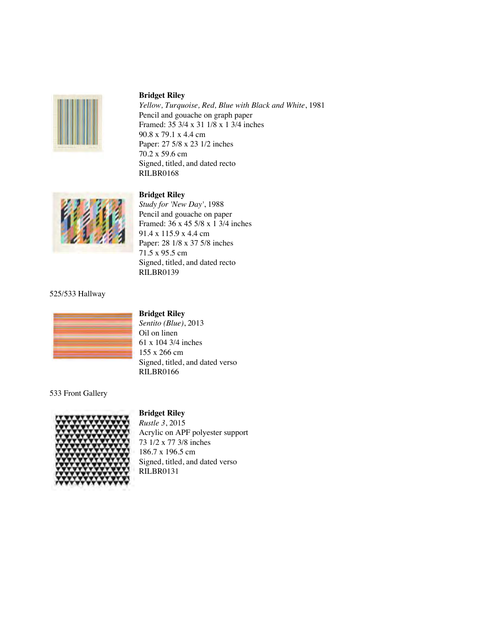

*Yellow, Turquoise, Red, Blue with Black and White*, 1981 Pencil and gouache on graph paper Framed: 35 3/4 x 31 1/8 x 1 3/4 inches 90.8 x 79.1 x 4.4 cm Paper: 27 5/8 x 23 1/2 inches 70.2 x 59.6 cm Signed, titled, and dated recto RILBR0168

#### **Bridget Riley**



*Study for 'New Day'*, 1988 Pencil and gouache on paper Framed: 36 x 45 5/8 x 1 3/4 inches 91.4 x 115.9 x 4.4 cm Paper: 28 1/8 x 37 5/8 inches 71.5 x 95.5 cm Signed, titled, and dated recto RILBR0139

#### 525/533 Hallway



#### **Bridget Riley**

*Sentito (Blue)*, 2013 Oil on linen 61 x 104 3/4 inches 155 x 266 cm Signed, titled, and dated verso RILBR0166

533 Front Gallery

# **Bridget Riley**



*Rustle 3*, 2015 Acrylic on APF polyester support 73 1/2 x 77 3/8 inches 186.7 x 196.5 cm Signed, titled, and dated verso RILBR0131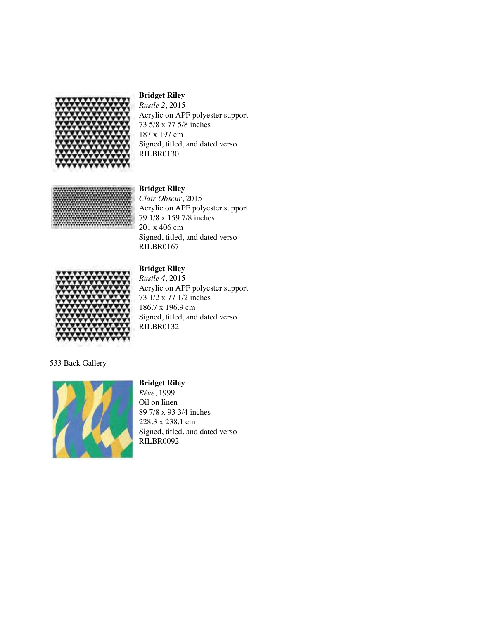

*Rustle 2*, 2015 Acrylic on APF polyester support 73 5/8 x 77 5/8 inches 187 x 197 cm Signed, titled, and dated verso RILBR0130



**Bridget Riley** *Clair Obscur*, 2015 Acrylic on APF polyester support 79 1/8 x 159 7/8 inches 201 x 406 cm Signed, titled, and dated verso RILBR0167



# **Bridget Riley**

*Rustle 4*, 2015 Acrylic on APF polyester support 73 1/2 x 77 1/2 inches 186.7 x 196.9 cm Signed, titled, and dated verso RILBR0132

533 Back Gallery



### **Bridget Riley**

*Rêve*, 1999 Oil on linen 89 7/8 x 93 3/4 inches 228.3 x 238.1 cm Signed, titled, and dated verso RILBR0092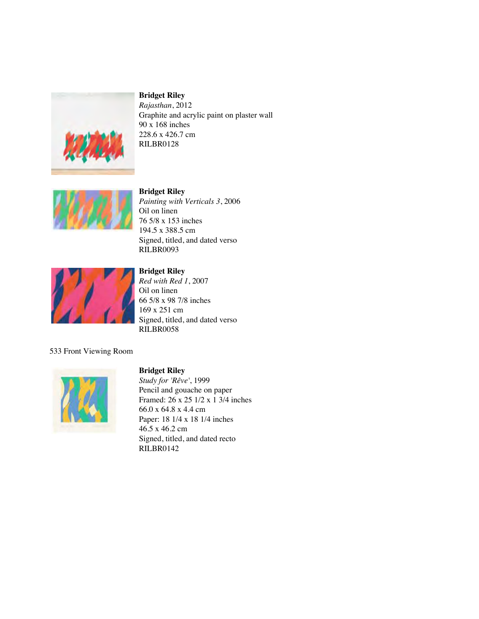

*Rajasthan*, 2012 Graphite and acrylic paint on plaster wall 90 x 168 inches 228.6 x 426.7 cm RILBR0128



**Bridget Riley** *Painting with Verticals 3*, 2006 Oil on linen 76 5/8 x 153 inches 194.5 x 388.5 cm Signed, titled, and dated verso RILBR0093



# **Bridget Riley**

*Red with Red 1*, 2007 Oil on linen 66 5/8 x 98 7/8 inches 169 x 251 cm Signed, titled, and dated verso RILBR0058

#### 533 Front Viewing Room



#### **Bridget Riley**

*Study for 'Rêve'*, 1999 Pencil and gouache on paper Framed: 26 x 25 1/2 x 1 3/4 inches 66.0 x 64.8 x 4.4 cm Paper: 18 1/4 x 18 1/4 inches 46.5 x 46.2 cm Signed, titled, and dated recto RILBR0142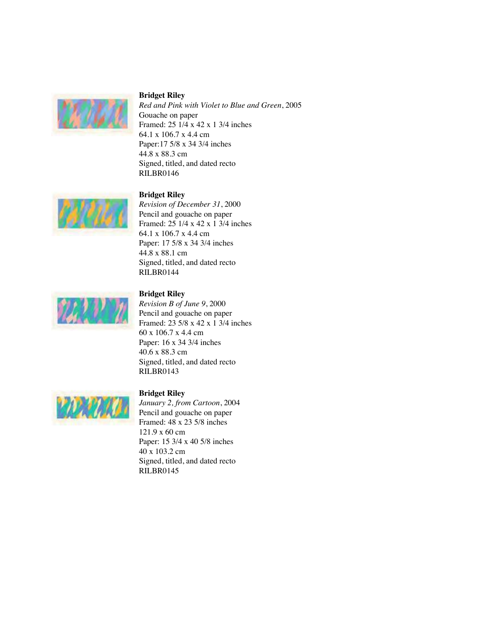

*Red and Pink with Violet to Blue and Green*, 2005 Gouache on paper Framed: 25 1/4 x 42 x 1 3/4 inches 64.1 x 106.7 x 4.4 cm Paper:17 5/8 x 34 3/4 inches 44.8 x 88.3 cm Signed, titled, and dated recto RILBR0146



#### **Bridget Riley**

*Revision of December 31*, 2000 Pencil and gouache on paper Framed: 25 1/4 x 42 x 1 3/4 inches 64.1 x 106.7 x 4.4 cm Paper: 17 5/8 x 34 3/4 inches 44.8 x 88.1 cm Signed, titled, and dated recto RILBR0144



### **Bridget Riley**

*Revision B of June 9*, 2000 Pencil and gouache on paper Framed: 23 5/8 x 42 x 1 3/4 inches 60 x 106.7 x 4.4 cm Paper: 16 x 34 3/4 inches 40.6 x 88.3 cm Signed, titled, and dated recto RILBR0143



**Bridget Riley** *January 2, from Cartoon*, 2004 Pencil and gouache on paper Framed: 48 x 23 5/8 inches 121.9 x 60 cm Paper: 15 3/4 x 40 5/8 inches 40 x 103.2 cm Signed, titled, and dated recto RILBR0145